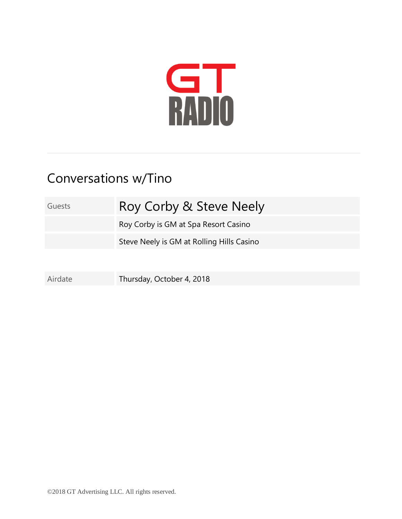

## Conversations w/Tino

Guests Roy Corby & Steve Neely Roy Corby is GM at Spa Resort Casino Steve Neely is GM at Rolling Hills Casino

Airdate Thursday, October 4, 2018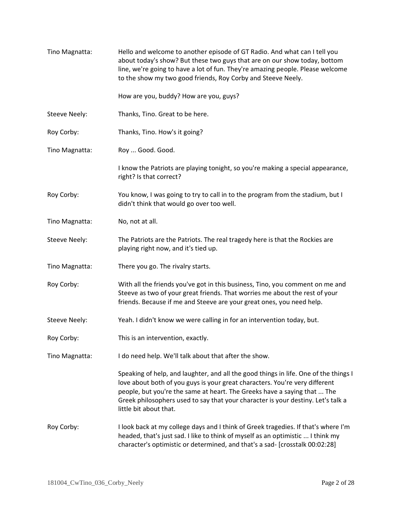| Tino Magnatta:       | Hello and welcome to another episode of GT Radio. And what can I tell you<br>about today's show? But these two guys that are on our show today, bottom<br>line, we're going to have a lot of fun. They're amazing people. Please welcome<br>to the show my two good friends, Roy Corby and Steeve Neely.                                                      |
|----------------------|---------------------------------------------------------------------------------------------------------------------------------------------------------------------------------------------------------------------------------------------------------------------------------------------------------------------------------------------------------------|
|                      | How are you, buddy? How are you, guys?                                                                                                                                                                                                                                                                                                                        |
| <b>Steeve Neely:</b> | Thanks, Tino. Great to be here.                                                                                                                                                                                                                                                                                                                               |
| Roy Corby:           | Thanks, Tino. How's it going?                                                                                                                                                                                                                                                                                                                                 |
| Tino Magnatta:       | Roy  Good. Good.                                                                                                                                                                                                                                                                                                                                              |
|                      | I know the Patriots are playing tonight, so you're making a special appearance,<br>right? Is that correct?                                                                                                                                                                                                                                                    |
| Roy Corby:           | You know, I was going to try to call in to the program from the stadium, but I<br>didn't think that would go over too well.                                                                                                                                                                                                                                   |
| Tino Magnatta:       | No, not at all.                                                                                                                                                                                                                                                                                                                                               |
| Steeve Neely:        | The Patriots are the Patriots. The real tragedy here is that the Rockies are<br>playing right now, and it's tied up.                                                                                                                                                                                                                                          |
| Tino Magnatta:       | There you go. The rivalry starts.                                                                                                                                                                                                                                                                                                                             |
| Roy Corby:           | With all the friends you've got in this business, Tino, you comment on me and<br>Steeve as two of your great friends. That worries me about the rest of your<br>friends. Because if me and Steeve are your great ones, you need help.                                                                                                                         |
| <b>Steeve Neely:</b> | Yeah. I didn't know we were calling in for an intervention today, but.                                                                                                                                                                                                                                                                                        |
| Roy Corby:           | This is an intervention, exactly.                                                                                                                                                                                                                                                                                                                             |
| Tino Magnatta:       | I do need help. We'll talk about that after the show.                                                                                                                                                                                                                                                                                                         |
|                      | Speaking of help, and laughter, and all the good things in life. One of the things I<br>love about both of you guys is your great characters. You're very different<br>people, but you're the same at heart. The Greeks have a saying that  The<br>Greek philosophers used to say that your character is your destiny. Let's talk a<br>little bit about that. |
| Roy Corby:           | I look back at my college days and I think of Greek tragedies. If that's where I'm<br>headed, that's just sad. I like to think of myself as an optimistic  I think my<br>character's optimistic or determined, and that's a sad- [crosstalk 00:02:28]                                                                                                         |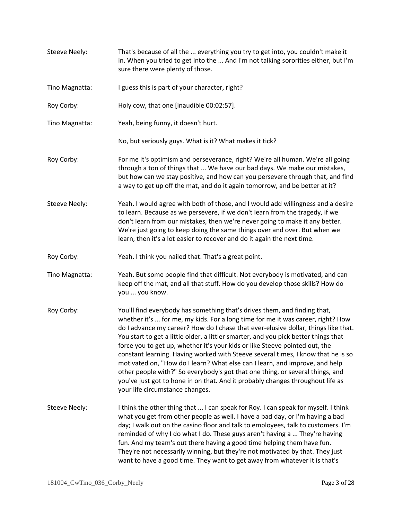- Steeve Neely: That's because of all the ... everything you try to get into, you couldn't make it in. When you tried to get into the ... And I'm not talking sororities either, but I'm sure there were plenty of those.
- Tino Magnatta: I guess this is part of your character, right?
- Roy Corby: Holy cow, that one [inaudible 00:02:57].
- Tino Magnatta: Yeah, being funny, it doesn't hurt.

No, but seriously guys. What is it? What makes it tick?

- Roy Corby: For me it's optimism and perseverance, right? We're all human. We're all going through a ton of things that ... We have our bad days. We make our mistakes, but how can we stay positive, and how can you persevere through that, and find a way to get up off the mat, and do it again tomorrow, and be better at it?
- Steeve Neely: Yeah. I would agree with both of those, and I would add willingness and a desire to learn. Because as we persevere, if we don't learn from the tragedy, if we don't learn from our mistakes, then we're never going to make it any better. We're just going to keep doing the same things over and over. But when we learn, then it's a lot easier to recover and do it again the next time.
- Roy Corby: Yeah. I think you nailed that. That's a great point.
- Tino Magnatta: Yeah. But some people find that difficult. Not everybody is motivated, and can keep off the mat, and all that stuff. How do you develop those skills? How do you ... you know.
- Roy Corby: You'll find everybody has something that's drives them, and finding that, whether it's ... for me, my kids. For a long time for me it was career, right? How do I advance my career? How do I chase that ever-elusive dollar, things like that. You start to get a little older, a littler smarter, and you pick better things that force you to get up, whether it's your kids or like Steeve pointed out, the constant learning. Having worked with Steeve several times, I know that he is so motivated on, "How do I learn? What else can I learn, and improve, and help other people with?" So everybody's got that one thing, or several things, and you've just got to hone in on that. And it probably changes throughout life as your life circumstance changes.
- Steeve Neely: I think the other thing that ... I can speak for Roy. I can speak for myself. I think what you get from other people as well. I have a bad day, or I'm having a bad day; I walk out on the casino floor and talk to employees, talk to customers. I'm reminded of why I do what I do. These guys aren't having a ... They're having fun. And my team's out there having a good time helping them have fun. They're not necessarily winning, but they're not motivated by that. They just want to have a good time. They want to get away from whatever it is that's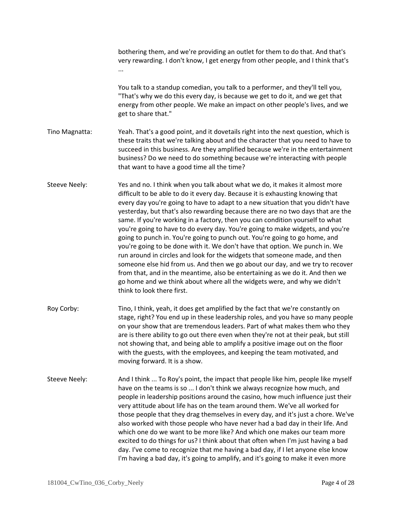|                      | bothering them, and we're providing an outlet for them to do that. And that's<br>very rewarding. I don't know, I get energy from other people, and I think that's                                                                                                                                                                                                                                                                                                                                                                                                                                                                                                                                                                                                                                                                                                                                                                                                                                                             |
|----------------------|-------------------------------------------------------------------------------------------------------------------------------------------------------------------------------------------------------------------------------------------------------------------------------------------------------------------------------------------------------------------------------------------------------------------------------------------------------------------------------------------------------------------------------------------------------------------------------------------------------------------------------------------------------------------------------------------------------------------------------------------------------------------------------------------------------------------------------------------------------------------------------------------------------------------------------------------------------------------------------------------------------------------------------|
|                      | You talk to a standup comedian, you talk to a performer, and they'll tell you,<br>"That's why we do this every day, is because we get to do it, and we get that<br>energy from other people. We make an impact on other people's lives, and we<br>get to share that."                                                                                                                                                                                                                                                                                                                                                                                                                                                                                                                                                                                                                                                                                                                                                         |
| Tino Magnatta:       | Yeah. That's a good point, and it dovetails right into the next question, which is<br>these traits that we're talking about and the character that you need to have to<br>succeed in this business. Are they amplified because we're in the entertainment<br>business? Do we need to do something because we're interacting with people<br>that want to have a good time all the time?                                                                                                                                                                                                                                                                                                                                                                                                                                                                                                                                                                                                                                        |
| <b>Steeve Neely:</b> | Yes and no. I think when you talk about what we do, it makes it almost more<br>difficult to be able to do it every day. Because it is exhausting knowing that<br>every day you're going to have to adapt to a new situation that you didn't have<br>yesterday, but that's also rewarding because there are no two days that are the<br>same. If you're working in a factory, then you can condition yourself to what<br>you're going to have to do every day. You're going to make widgets, and you're<br>going to punch in. You're going to punch out. You're going to go home, and<br>you're going to be done with it. We don't have that option. We punch in. We<br>run around in circles and look for the widgets that someone made, and then<br>someone else hid from us. And then we go about our day, and we try to recover<br>from that, and in the meantime, also be entertaining as we do it. And then we<br>go home and we think about where all the widgets were, and why we didn't<br>think to look there first. |
| Roy Corby:           | Tino, I think, yeah, it does get amplified by the fact that we're constantly on<br>stage, right? You end up in these leadership roles, and you have so many people<br>on your show that are tremendous leaders. Part of what makes them who they<br>are is there ability to go out there even when they're not at their peak, but still<br>not showing that, and being able to amplify a positive image out on the floor<br>with the guests, with the employees, and keeping the team motivated, and<br>moving forward. It is a show.                                                                                                                                                                                                                                                                                                                                                                                                                                                                                         |
| Steeve Neely:        | And I think  To Roy's point, the impact that people like him, people like myself<br>have on the teams is so  I don't think we always recognize how much, and<br>people in leadership positions around the casino, how much influence just their<br>very attitude about life has on the team around them. We've all worked for<br>those people that they drag themselves in every day, and it's just a chore. We've<br>also worked with those people who have never had a bad day in their life. And<br>which one do we want to be more like? And which one makes our team more<br>excited to do things for us? I think about that often when I'm just having a bad<br>day. I've come to recognize that me having a bad day, if I let anyone else know<br>I'm having a bad day, it's going to amplify, and it's going to make it even more                                                                                                                                                                                     |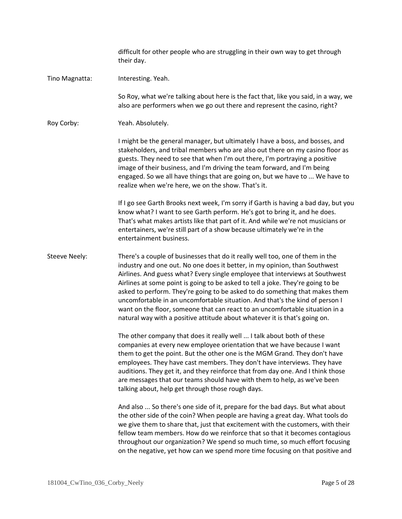difficult for other people who are struggling in their own way to get through their day. Tino Magnatta: Interesting. Yeah. So Roy, what we're talking about here is the fact that, like you said, in a way, we also are performers when we go out there and represent the casino, right? Roy Corby: Yeah. Absolutely. I might be the general manager, but ultimately I have a boss, and bosses, and stakeholders, and tribal members who are also out there on my casino floor as guests. They need to see that when I'm out there, I'm portraying a positive image of their business, and I'm driving the team forward, and I'm being engaged. So we all have things that are going on, but we have to ... We have to realize when we're here, we on the show. That's it. If I go see Garth Brooks next week, I'm sorry if Garth is having a bad day, but you know what? I want to see Garth perform. He's got to bring it, and he does. That's what makes artists like that part of it. And while we're not musicians or entertainers, we're still part of a show because ultimately we're in the entertainment business. Steeve Neely: There's a couple of businesses that do it really well too, one of them in the industry and one out. No one does it better, in my opinion, than Southwest Airlines. And guess what? Every single employee that interviews at Southwest Airlines at some point is going to be asked to tell a joke. They're going to be asked to perform. They're going to be asked to do something that makes them uncomfortable in an uncomfortable situation. And that's the kind of person I want on the floor, someone that can react to an uncomfortable situation in a natural way with a positive attitude about whatever it is that's going on. The other company that does it really well ... I talk about both of these companies at every new employee orientation that we have because I want them to get the point. But the other one is the MGM Grand. They don't have employees. They have cast members. They don't have interviews. They have auditions. They get it, and they reinforce that from day one. And I think those are messages that our teams should have with them to help, as we've been talking about, help get through those rough days. And also ... So there's one side of it, prepare for the bad days. But what about the other side of the coin? When people are having a great day. What tools do we give them to share that, just that excitement with the customers, with their fellow team members. How do we reinforce that so that it becomes contagious throughout our organization? We spend so much time, so much effort focusing on the negative, yet how can we spend more time focusing on that positive and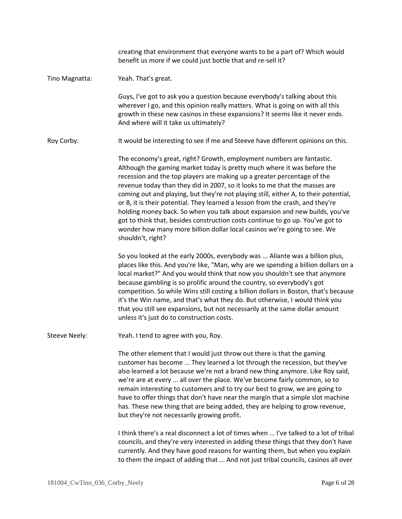|                | creating that environment that everyone wants to be a part of? Which would<br>benefit us more if we could just bottle that and re-sell it?                                                                                                                                                                                                                                                                                                                                                                                                                                                                                                                                                                                                            |
|----------------|-------------------------------------------------------------------------------------------------------------------------------------------------------------------------------------------------------------------------------------------------------------------------------------------------------------------------------------------------------------------------------------------------------------------------------------------------------------------------------------------------------------------------------------------------------------------------------------------------------------------------------------------------------------------------------------------------------------------------------------------------------|
| Tino Magnatta: | Yeah. That's great.                                                                                                                                                                                                                                                                                                                                                                                                                                                                                                                                                                                                                                                                                                                                   |
|                | Guys, I've got to ask you a question because everybody's talking about this<br>wherever I go, and this opinion really matters. What is going on with all this<br>growth in these new casinos in these expansions? It seems like it never ends.<br>And where will it take us ultimately?                                                                                                                                                                                                                                                                                                                                                                                                                                                               |
| Roy Corby:     | It would be interesting to see if me and Steeve have different opinions on this.                                                                                                                                                                                                                                                                                                                                                                                                                                                                                                                                                                                                                                                                      |
|                | The economy's great, right? Growth, employment numbers are fantastic.<br>Although the gaming market today is pretty much where it was before the<br>recession and the top players are making up a greater percentage of the<br>revenue today than they did in 2007, so it looks to me that the masses are<br>coming out and playing, but they're not playing still, either A, to their potential,<br>or B, it is their potential. They learned a lesson from the crash, and they're<br>holding money back. So when you talk about expansion and new builds, you've<br>got to think that, besides construction costs continue to go up. You've got to<br>wonder how many more billion dollar local casinos we're going to see. We<br>shouldn't, right? |
|                | So you looked at the early 2000s, everybody was  Aliante was a billion plus,<br>places like this. And you're like, "Man, why are we spending a billion dollars on a<br>local market?" And you would think that now you shouldn't see that anymore<br>because gambling is so prolific around the country, so everybody's got<br>competition. So while Wins still costing a billion dollars in Boston, that's because<br>it's the Win name, and that's what they do. But otherwise, I would think you<br>that you still see expansions, but not necessarily at the same dollar amount<br>unless it's just do to construction costs.                                                                                                                     |
| Steeve Neely:  | Yeah. I tend to agree with you, Roy.                                                                                                                                                                                                                                                                                                                                                                                                                                                                                                                                                                                                                                                                                                                  |
|                | The other element that I would just throw out there is that the gaming<br>customer has become  They learned a lot through the recession, but they've<br>also learned a lot because we're not a brand new thing anymore. Like Roy said,<br>we're are at every  all over the place. We've become fairly common, so to<br>remain interesting to customers and to try our best to grow, we are going to<br>have to offer things that don't have near the margin that a simple slot machine<br>has. These new thing that are being added, they are helping to grow revenue,<br>but they're not necessarily growing profit.                                                                                                                                 |
|                | I think there's a real disconnect a lot of times when  I've talked to a lot of tribal<br>councils, and they're very interested in adding these things that they don't have<br>currently. And they have good reasons for wanting them, but when you explain<br>to them the impact of adding that  And not just tribal councils, casinos all over                                                                                                                                                                                                                                                                                                                                                                                                       |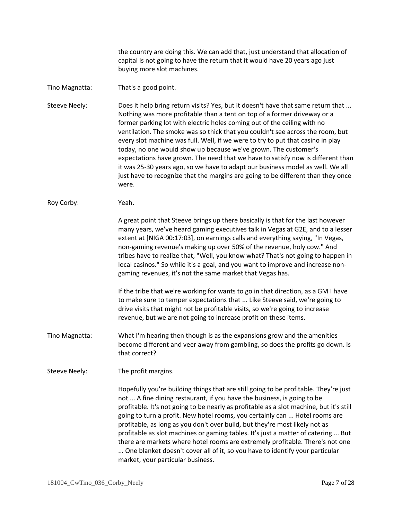the country are doing this. We can add that, just understand that allocation of capital is not going to have the return that it would have 20 years ago just buying more slot machines.

## Tino Magnatta: That's a good point.

Steeve Neely: Does it help bring return visits? Yes, but it doesn't have that same return that ... Nothing was more profitable than a tent on top of a former driveway or a former parking lot with electric holes coming out of the ceiling with no ventilation. The smoke was so thick that you couldn't see across the room, but every slot machine was full. Well, if we were to try to put that casino in play today, no one would show up because we've grown. The customer's expectations have grown. The need that we have to satisfy now is different than it was 25-30 years ago, so we have to adapt our business model as well. We all just have to recognize that the margins are going to be different than they once were.

## Roy Corby: Yeah.

A great point that Steeve brings up there basically is that for the last however many years, we've heard gaming executives talk in Vegas at G2E, and to a lesser extent at [NIGA 00:17:03], on earnings calls and everything saying, "In Vegas, non-gaming revenue's making up over 50% of the revenue, holy cow." And tribes have to realize that, "Well, you know what? That's not going to happen in local casinos." So while it's a goal, and you want to improve and increase nongaming revenues, it's not the same market that Vegas has.

If the tribe that we're working for wants to go in that direction, as a GM I have to make sure to temper expectations that ... Like Steeve said, we're going to drive visits that might not be profitable visits, so we're going to increase revenue, but we are not going to increase profit on these items.

Tino Magnatta: What I'm hearing then though is as the expansions grow and the amenities become different and veer away from gambling, so does the profits go down. Is that correct?

Steeve Neely: The profit margins.

Hopefully you're building things that are still going to be profitable. They're just not ... A fine dining restaurant, if you have the business, is going to be profitable. It's not going to be nearly as profitable as a slot machine, but it's still going to turn a profit. New hotel rooms, you certainly can ... Hotel rooms are profitable, as long as you don't over build, but they're most likely not as profitable as slot machines or gaming tables. It's just a matter of catering ... But there are markets where hotel rooms are extremely profitable. There's not one ... One blanket doesn't cover all of it, so you have to identify your particular market, your particular business.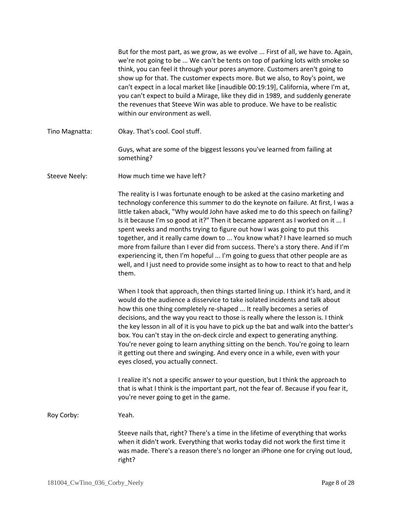|                      | But for the most part, as we grow, as we evolve  First of all, we have to. Again,<br>we're not going to be  We can't be tents on top of parking lots with smoke so<br>think, you can feel it through your pores anymore. Customers aren't going to<br>show up for that. The customer expects more. But we also, to Roy's point, we<br>can't expect in a local market like [inaudible 00:19:19], California, where I'm at,<br>you can't expect to build a Mirage, like they did in 1989, and suddenly generate<br>the revenues that Steeve Win was able to produce. We have to be realistic<br>within our environment as well.                                                                                                                                                                                                                                                                      |
|----------------------|----------------------------------------------------------------------------------------------------------------------------------------------------------------------------------------------------------------------------------------------------------------------------------------------------------------------------------------------------------------------------------------------------------------------------------------------------------------------------------------------------------------------------------------------------------------------------------------------------------------------------------------------------------------------------------------------------------------------------------------------------------------------------------------------------------------------------------------------------------------------------------------------------|
| Tino Magnatta:       | Okay. That's cool. Cool stuff.                                                                                                                                                                                                                                                                                                                                                                                                                                                                                                                                                                                                                                                                                                                                                                                                                                                                     |
|                      | Guys, what are some of the biggest lessons you've learned from failing at<br>something?                                                                                                                                                                                                                                                                                                                                                                                                                                                                                                                                                                                                                                                                                                                                                                                                            |
| <b>Steeve Neely:</b> | How much time we have left?                                                                                                                                                                                                                                                                                                                                                                                                                                                                                                                                                                                                                                                                                                                                                                                                                                                                        |
|                      | The reality is I was fortunate enough to be asked at the casino marketing and<br>technology conference this summer to do the keynote on failure. At first, I was a<br>little taken aback, "Why would John have asked me to do this speech on failing?<br>Is it because I'm so good at it?" Then it became apparent as I worked on it  I<br>spent weeks and months trying to figure out how I was going to put this<br>together, and it really came down to  You know what? I have learned so much<br>more from failure than I ever did from success. There's a story there. And if I'm<br>experiencing it, then I'm hopeful  I'm going to guess that other people are as<br>well, and I just need to provide some insight as to how to react to that and help<br>them.                                                                                                                             |
|                      | When I took that approach, then things started lining up. I think it's hard, and it<br>would do the audience a disservice to take isolated incidents and talk about<br>how this one thing completely re-shaped  It really becomes a series of<br>decisions, and the way you react to those is really where the lesson is. I think<br>the key lesson in all of it is you have to pick up the bat and walk into the batter's<br>box. You can't stay in the on-deck circle and expect to generating anything.<br>You're never going to learn anything sitting on the bench. You're going to learn<br>it getting out there and swinging. And every once in a while, even with your<br>eyes closed, you actually connect.<br>I realize it's not a specific answer to your question, but I think the approach to<br>that is what I think is the important part, not the fear of. Because if you fear it, |
| Roy Corby:           | you're never going to get in the game.<br>Yeah.                                                                                                                                                                                                                                                                                                                                                                                                                                                                                                                                                                                                                                                                                                                                                                                                                                                    |
|                      |                                                                                                                                                                                                                                                                                                                                                                                                                                                                                                                                                                                                                                                                                                                                                                                                                                                                                                    |
|                      | Steeve nails that, right? There's a time in the lifetime of everything that works<br>when it didn't work. Everything that works today did not work the first time it<br>was made. There's a reason there's no longer an iPhone one for crying out loud,<br>right?                                                                                                                                                                                                                                                                                                                                                                                                                                                                                                                                                                                                                                  |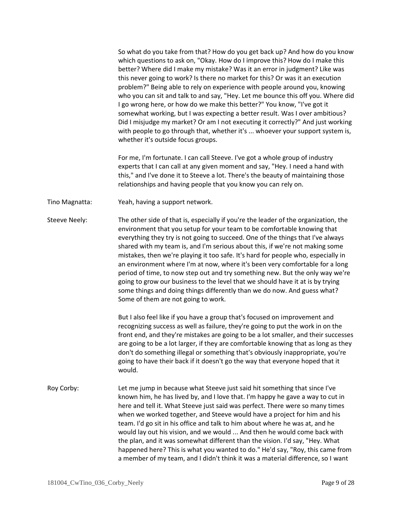So what do you take from that? How do you get back up? And how do you know which questions to ask on, "Okay. How do I improve this? How do I make this better? Where did I make my mistake? Was it an error in judgment? Like was this never going to work? Is there no market for this? Or was it an execution problem?" Being able to rely on experience with people around you, knowing who you can sit and talk to and say, "Hey. Let me bounce this off you. Where did I go wrong here, or how do we make this better?" You know, "I've got it somewhat working, but I was expecting a better result. Was I over ambitious? Did I misjudge my market? Or am I not executing it correctly?" And just working with people to go through that, whether it's ... whoever your support system is, whether it's outside focus groups.

For me, I'm fortunate. I can call Steeve. I've got a whole group of industry experts that I can call at any given moment and say, "Hey. I need a hand with this," and I've done it to Steeve a lot. There's the beauty of maintaining those relationships and having people that you know you can rely on.

Tino Magnatta: Yeah, having a support network.

Steeve Neely: The other side of that is, especially if you're the leader of the organization, the environment that you setup for your team to be comfortable knowing that everything they try is not going to succeed. One of the things that I've always shared with my team is, and I'm serious about this, if we're not making some mistakes, then we're playing it too safe. It's hard for people who, especially in an environment where I'm at now, where it's been very comfortable for a long period of time, to now step out and try something new. But the only way we're going to grow our business to the level that we should have it at is by trying some things and doing things differently than we do now. And guess what? Some of them are not going to work.

> But I also feel like if you have a group that's focused on improvement and recognizing success as well as failure, they're going to put the work in on the front end, and they're mistakes are going to be a lot smaller, and their successes are going to be a lot larger, if they are comfortable knowing that as long as they don't do something illegal or something that's obviously inappropriate, you're going to have their back if it doesn't go the way that everyone hoped that it would.

Roy Corby: Let me jump in because what Steeve just said hit something that since I've known him, he has lived by, and I love that. I'm happy he gave a way to cut in here and tell it. What Steeve just said was perfect. There were so many times when we worked together, and Steeve would have a project for him and his team. I'd go sit in his office and talk to him about where he was at, and he would lay out his vision, and we would ... And then he would come back with the plan, and it was somewhat different than the vision. I'd say, "Hey. What happened here? This is what you wanted to do." He'd say, "Roy, this came from a member of my team, and I didn't think it was a material difference, so I want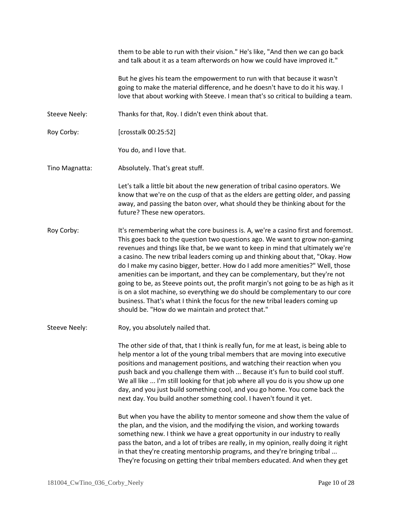them to be able to run with their vision." He's like, "And then we can go back and talk about it as a team afterwords on how we could have improved it." But he gives his team the empowerment to run with that because it wasn't going to make the material difference, and he doesn't have to do it his way. I love that about working with Steeve. I mean that's so critical to building a team. Steeve Neely: Thanks for that, Roy. I didn't even think about that. Roy Corby: [crosstalk 00:25:52] You do, and I love that. Tino Magnatta: Absolutely. That's great stuff. Let's talk a little bit about the new generation of tribal casino operators. We know that we're on the cusp of that as the elders are getting older, and passing away, and passing the baton over, what should they be thinking about for the future? These new operators. Roy Corby: It's remembering what the core business is. A, we're a casino first and foremost. This goes back to the question two questions ago. We want to grow non-gaming revenues and things like that, be we want to keep in mind that ultimately we're a casino. The new tribal leaders coming up and thinking about that, "Okay. How do I make my casino bigger, better. How do I add more amenities?" Well, those amenities can be important, and they can be complementary, but they're not going to be, as Steeve points out, the profit margin's not going to be as high as it is on a slot machine, so everything we do should be complementary to our core business. That's what I think the focus for the new tribal leaders coming up should be. "How do we maintain and protect that." Steeve Neely: Roy, you absolutely nailed that. The other side of that, that I think is really fun, for me at least, is being able to help mentor a lot of the young tribal members that are moving into executive positions and management positions, and watching their reaction when you push back and you challenge them with ... Because it's fun to build cool stuff. We all like ... I'm still looking for that job where all you do is you show up one day, and you just build something cool, and you go home. You come back the next day. You build another something cool. I haven't found it yet. But when you have the ability to mentor someone and show them the value of the plan, and the vision, and the modifying the vision, and working towards something new. I think we have a great opportunity in our industry to really pass the baton, and a lot of tribes are really, in my opinion, really doing it right in that they're creating mentorship programs, and they're bringing tribal ... They're focusing on getting their tribal members educated. And when they get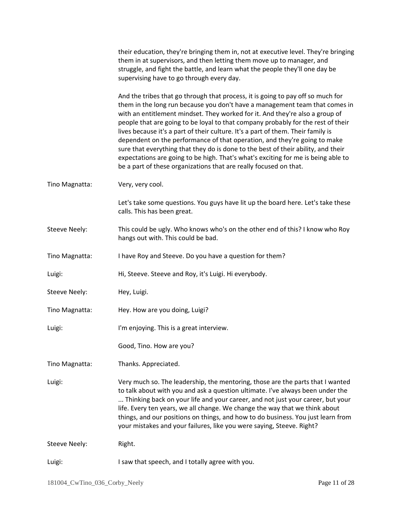|                      | their education, they're bringing them in, not at executive level. They're bringing<br>them in at supervisors, and then letting them move up to manager, and<br>struggle, and fight the battle, and learn what the people they'll one day be<br>supervising have to go through every day.                                                                                                                                                                                                                                                                                                                                                                                                                                                          |
|----------------------|----------------------------------------------------------------------------------------------------------------------------------------------------------------------------------------------------------------------------------------------------------------------------------------------------------------------------------------------------------------------------------------------------------------------------------------------------------------------------------------------------------------------------------------------------------------------------------------------------------------------------------------------------------------------------------------------------------------------------------------------------|
|                      | And the tribes that go through that process, it is going to pay off so much for<br>them in the long run because you don't have a management team that comes in<br>with an entitlement mindset. They worked for it. And they're also a group of<br>people that are going to be loyal to that company probably for the rest of their<br>lives because it's a part of their culture. It's a part of them. Their family is<br>dependent on the performance of that operation, and they're going to make<br>sure that everything that they do is done to the best of their ability, and their<br>expectations are going to be high. That's what's exciting for me is being able to<br>be a part of these organizations that are really focused on that. |
| Tino Magnatta:       | Very, very cool.                                                                                                                                                                                                                                                                                                                                                                                                                                                                                                                                                                                                                                                                                                                                   |
|                      | Let's take some questions. You guys have lit up the board here. Let's take these<br>calls. This has been great.                                                                                                                                                                                                                                                                                                                                                                                                                                                                                                                                                                                                                                    |
| <b>Steeve Neely:</b> | This could be ugly. Who knows who's on the other end of this? I know who Roy<br>hangs out with. This could be bad.                                                                                                                                                                                                                                                                                                                                                                                                                                                                                                                                                                                                                                 |
| Tino Magnatta:       | I have Roy and Steeve. Do you have a question for them?                                                                                                                                                                                                                                                                                                                                                                                                                                                                                                                                                                                                                                                                                            |
| Luigi:               | Hi, Steeve. Steeve and Roy, it's Luigi. Hi everybody.                                                                                                                                                                                                                                                                                                                                                                                                                                                                                                                                                                                                                                                                                              |
| <b>Steeve Neely:</b> | Hey, Luigi.                                                                                                                                                                                                                                                                                                                                                                                                                                                                                                                                                                                                                                                                                                                                        |
| Tino Magnatta:       | Hey. How are you doing, Luigi?                                                                                                                                                                                                                                                                                                                                                                                                                                                                                                                                                                                                                                                                                                                     |
| Luigi:               | I'm enjoying. This is a great interview.                                                                                                                                                                                                                                                                                                                                                                                                                                                                                                                                                                                                                                                                                                           |
|                      | Good, Tino. How are you?                                                                                                                                                                                                                                                                                                                                                                                                                                                                                                                                                                                                                                                                                                                           |
| Tino Magnatta:       | Thanks. Appreciated.                                                                                                                                                                                                                                                                                                                                                                                                                                                                                                                                                                                                                                                                                                                               |
| Luigi:               | Very much so. The leadership, the mentoring, those are the parts that I wanted<br>to talk about with you and ask a question ultimate. I've always been under the<br>Thinking back on your life and your career, and not just your career, but your<br>life. Every ten years, we all change. We change the way that we think about<br>things, and our positions on things, and how to do business. You just learn from<br>your mistakes and your failures, like you were saying, Steeve. Right?                                                                                                                                                                                                                                                     |
| <b>Steeve Neely:</b> | Right.                                                                                                                                                                                                                                                                                                                                                                                                                                                                                                                                                                                                                                                                                                                                             |
| Luigi:               | I saw that speech, and I totally agree with you.                                                                                                                                                                                                                                                                                                                                                                                                                                                                                                                                                                                                                                                                                                   |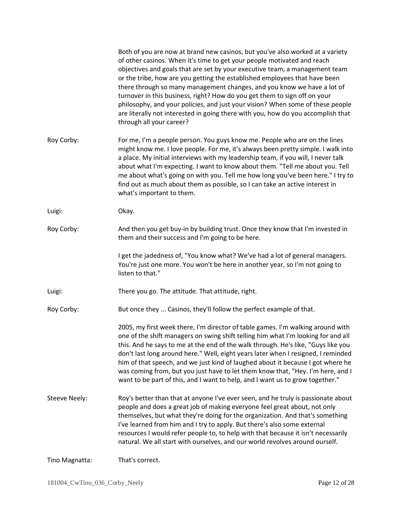|                      | Both of you are now at brand new casinos, but you've also worked at a variety<br>of other casinos. When it's time to get your people motivated and reach<br>objectives and goals that are set by your executive team, a management team<br>or the tribe, how are you getting the established employees that have been<br>there through so many management changes, and you know we have a lot of<br>turnover in this business, right? How do you get them to sign off on your<br>philosophy, and your policies, and just your vision? When some of these people<br>are literally not interested in going there with you, how do you accomplish that<br>through all your career? |
|----------------------|---------------------------------------------------------------------------------------------------------------------------------------------------------------------------------------------------------------------------------------------------------------------------------------------------------------------------------------------------------------------------------------------------------------------------------------------------------------------------------------------------------------------------------------------------------------------------------------------------------------------------------------------------------------------------------|
| Roy Corby:           | For me, I'm a people person. You guys know me. People who are on the lines<br>might know me. I love people. For me, it's always been pretty simple. I walk into<br>a place. My initial interviews with my leadership team, if you will, I never talk<br>about what I'm expecting. I want to know about them. "Tell me about you. Tell<br>me about what's going on with you. Tell me how long you've been here." I try to<br>find out as much about them as possible, so I can take an active interest in<br>what's important to them.                                                                                                                                           |
| Luigi:               | Okay.                                                                                                                                                                                                                                                                                                                                                                                                                                                                                                                                                                                                                                                                           |
| Roy Corby:           | And then you get buy-in by building trust. Once they know that I'm invested in<br>them and their success and I'm going to be here.                                                                                                                                                                                                                                                                                                                                                                                                                                                                                                                                              |
|                      | I get the jadedness of, "You know what? We've had a lot of general managers.<br>You're just one more. You won't be here in another year, so I'm not going to<br>listen to that."                                                                                                                                                                                                                                                                                                                                                                                                                                                                                                |
| Luigi:               | There you go. The attitude. That attitude, right.                                                                                                                                                                                                                                                                                                                                                                                                                                                                                                                                                                                                                               |
| Roy Corby:           | But once they  Casinos, they'll follow the perfect example of that.                                                                                                                                                                                                                                                                                                                                                                                                                                                                                                                                                                                                             |
|                      | 2005, my first week there, I'm director of table games. I'm walking around with<br>one of the shift managers on swing shift telling him what I'm looking for and all<br>this. And he says to me at the end of the walk through. He's like, "Guys like you<br>don't last long around here." Well, eight years later when I resigned, I reminded<br>him of that speech, and we just kind of laughed about it because I got where he<br>was coming from, but you just have to let them know that, "Hey. I'm here, and I<br>want to be part of this, and I want to help, and I want us to grow together."                                                                           |
| <b>Steeve Neely:</b> | Roy's better than that at anyone I've ever seen, and he truly is passionate about<br>people and does a great job of making everyone feel great about, not only<br>themselves, but what they're doing for the organization. And that's something<br>I've learned from him and I try to apply. But there's also some external<br>resources I would refer people to, to help with that because it isn't necessarily<br>natural. We all start with ourselves, and our world revolves around ourself.                                                                                                                                                                                |
| Tino Magnatta:       | That's correct.                                                                                                                                                                                                                                                                                                                                                                                                                                                                                                                                                                                                                                                                 |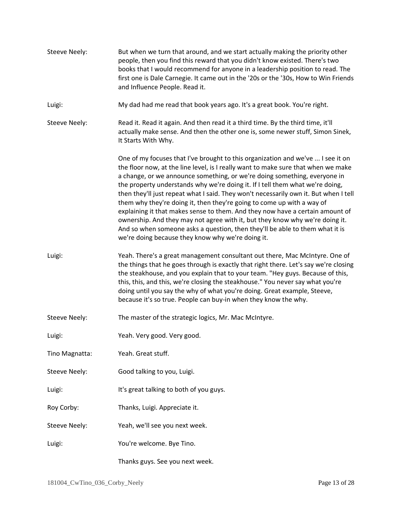| <b>Steeve Neely:</b> | But when we turn that around, and we start actually making the priority other<br>people, then you find this reward that you didn't know existed. There's two<br>books that I would recommend for anyone in a leadership position to read. The<br>first one is Dale Carnegie. It came out in the '20s or the '30s, How to Win Friends<br>and Influence People. Read it.                                                                                                                                                                                                                                                                                                                                                                                                                                     |
|----------------------|------------------------------------------------------------------------------------------------------------------------------------------------------------------------------------------------------------------------------------------------------------------------------------------------------------------------------------------------------------------------------------------------------------------------------------------------------------------------------------------------------------------------------------------------------------------------------------------------------------------------------------------------------------------------------------------------------------------------------------------------------------------------------------------------------------|
| Luigi:               | My dad had me read that book years ago. It's a great book. You're right.                                                                                                                                                                                                                                                                                                                                                                                                                                                                                                                                                                                                                                                                                                                                   |
| <b>Steeve Neely:</b> | Read it. Read it again. And then read it a third time. By the third time, it'll<br>actually make sense. And then the other one is, some newer stuff, Simon Sinek,<br>It Starts With Why.                                                                                                                                                                                                                                                                                                                                                                                                                                                                                                                                                                                                                   |
|                      | One of my focuses that I've brought to this organization and we've  I see it on<br>the floor now, at the line level, is I really want to make sure that when we make<br>a change, or we announce something, or we're doing something, everyone in<br>the property understands why we're doing it. If I tell them what we're doing,<br>then they'll just repeat what I said. They won't necessarily own it. But when I tell<br>them why they're doing it, then they're going to come up with a way of<br>explaining it that makes sense to them. And they now have a certain amount of<br>ownership. And they may not agree with it, but they know why we're doing it.<br>And so when someone asks a question, then they'll be able to them what it is<br>we're doing because they know why we're doing it. |
| Luigi:               | Yeah. There's a great management consultant out there, Mac McIntyre. One of<br>the things that he goes through is exactly that right there. Let's say we're closing<br>the steakhouse, and you explain that to your team. "Hey guys. Because of this,<br>this, this, and this, we're closing the steakhouse." You never say what you're<br>doing until you say the why of what you're doing. Great example, Steeve,<br>because it's so true. People can buy-in when they know the why.                                                                                                                                                                                                                                                                                                                     |
| <b>Steeve Neely:</b> | The master of the strategic logics, Mr. Mac McIntyre.                                                                                                                                                                                                                                                                                                                                                                                                                                                                                                                                                                                                                                                                                                                                                      |
| Luigi:               | Yeah. Very good. Very good.                                                                                                                                                                                                                                                                                                                                                                                                                                                                                                                                                                                                                                                                                                                                                                                |
| Tino Magnatta:       | Yeah. Great stuff.                                                                                                                                                                                                                                                                                                                                                                                                                                                                                                                                                                                                                                                                                                                                                                                         |
| <b>Steeve Neely:</b> | Good talking to you, Luigi.                                                                                                                                                                                                                                                                                                                                                                                                                                                                                                                                                                                                                                                                                                                                                                                |
| Luigi:               | It's great talking to both of you guys.                                                                                                                                                                                                                                                                                                                                                                                                                                                                                                                                                                                                                                                                                                                                                                    |
| Roy Corby:           | Thanks, Luigi. Appreciate it.                                                                                                                                                                                                                                                                                                                                                                                                                                                                                                                                                                                                                                                                                                                                                                              |
| <b>Steeve Neely:</b> | Yeah, we'll see you next week.                                                                                                                                                                                                                                                                                                                                                                                                                                                                                                                                                                                                                                                                                                                                                                             |
| Luigi:               | You're welcome. Bye Tino.                                                                                                                                                                                                                                                                                                                                                                                                                                                                                                                                                                                                                                                                                                                                                                                  |
|                      | Thanks guys. See you next week.                                                                                                                                                                                                                                                                                                                                                                                                                                                                                                                                                                                                                                                                                                                                                                            |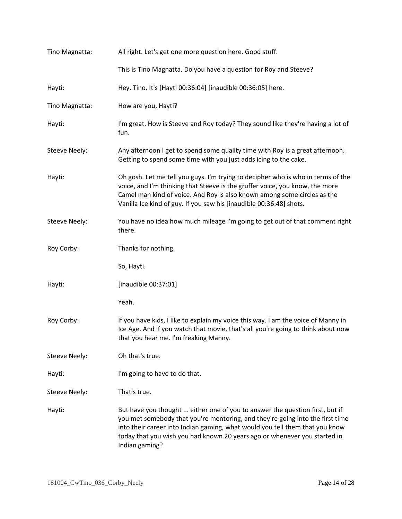| Tino Magnatta:       | All right. Let's get one more question here. Good stuff.                                                                                                                                                                                                                                                                                     |
|----------------------|----------------------------------------------------------------------------------------------------------------------------------------------------------------------------------------------------------------------------------------------------------------------------------------------------------------------------------------------|
|                      | This is Tino Magnatta. Do you have a question for Roy and Steeve?                                                                                                                                                                                                                                                                            |
| Hayti:               | Hey, Tino. It's [Hayti 00:36:04] [inaudible 00:36:05] here.                                                                                                                                                                                                                                                                                  |
| Tino Magnatta:       | How are you, Hayti?                                                                                                                                                                                                                                                                                                                          |
| Hayti:               | I'm great. How is Steeve and Roy today? They sound like they're having a lot of<br>fun.                                                                                                                                                                                                                                                      |
| Steeve Neely:        | Any afternoon I get to spend some quality time with Roy is a great afternoon.<br>Getting to spend some time with you just adds icing to the cake.                                                                                                                                                                                            |
| Hayti:               | Oh gosh. Let me tell you guys. I'm trying to decipher who is who in terms of the<br>voice, and I'm thinking that Steeve is the gruffer voice, you know, the more<br>Camel man kind of voice. And Roy is also known among some circles as the<br>Vanilla Ice kind of guy. If you saw his [inaudible 00:36:48] shots.                          |
| <b>Steeve Neely:</b> | You have no idea how much mileage I'm going to get out of that comment right<br>there.                                                                                                                                                                                                                                                       |
| Roy Corby:           | Thanks for nothing.                                                                                                                                                                                                                                                                                                                          |
|                      | So, Hayti.                                                                                                                                                                                                                                                                                                                                   |
| Hayti:               | [inaudible 00:37:01]                                                                                                                                                                                                                                                                                                                         |
|                      | Yeah.                                                                                                                                                                                                                                                                                                                                        |
| Roy Corby:           | If you have kids, I like to explain my voice this way. I am the voice of Manny in<br>Ice Age. And if you watch that movie, that's all you're going to think about now<br>that you hear me. I'm freaking Manny.                                                                                                                               |
| <b>Steeve Neely:</b> | Oh that's true.                                                                                                                                                                                                                                                                                                                              |
| Hayti:               | I'm going to have to do that.                                                                                                                                                                                                                                                                                                                |
| Steeve Neely:        | That's true.                                                                                                                                                                                                                                                                                                                                 |
| Hayti:               | But have you thought  either one of you to answer the question first, but if<br>you met somebody that you're mentoring, and they're going into the first time<br>into their career into Indian gaming, what would you tell them that you know<br>today that you wish you had known 20 years ago or whenever you started in<br>Indian gaming? |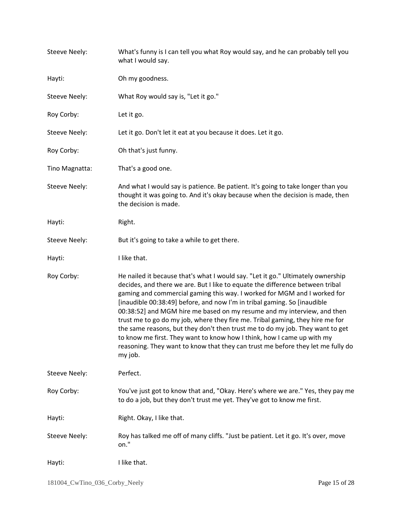| <b>Steeve Neely:</b> | What's funny is I can tell you what Roy would say, and he can probably tell you<br>what I would say.                                                                                                                                                                                                                                                                                                                                                                                                                                                                                                                                                                                                                                          |
|----------------------|-----------------------------------------------------------------------------------------------------------------------------------------------------------------------------------------------------------------------------------------------------------------------------------------------------------------------------------------------------------------------------------------------------------------------------------------------------------------------------------------------------------------------------------------------------------------------------------------------------------------------------------------------------------------------------------------------------------------------------------------------|
| Hayti:               | Oh my goodness.                                                                                                                                                                                                                                                                                                                                                                                                                                                                                                                                                                                                                                                                                                                               |
| <b>Steeve Neely:</b> | What Roy would say is, "Let it go."                                                                                                                                                                                                                                                                                                                                                                                                                                                                                                                                                                                                                                                                                                           |
| Roy Corby:           | Let it go.                                                                                                                                                                                                                                                                                                                                                                                                                                                                                                                                                                                                                                                                                                                                    |
| <b>Steeve Neely:</b> | Let it go. Don't let it eat at you because it does. Let it go.                                                                                                                                                                                                                                                                                                                                                                                                                                                                                                                                                                                                                                                                                |
| Roy Corby:           | Oh that's just funny.                                                                                                                                                                                                                                                                                                                                                                                                                                                                                                                                                                                                                                                                                                                         |
| Tino Magnatta:       | That's a good one.                                                                                                                                                                                                                                                                                                                                                                                                                                                                                                                                                                                                                                                                                                                            |
| <b>Steeve Neely:</b> | And what I would say is patience. Be patient. It's going to take longer than you<br>thought it was going to. And it's okay because when the decision is made, then<br>the decision is made.                                                                                                                                                                                                                                                                                                                                                                                                                                                                                                                                                   |
| Hayti:               | Right.                                                                                                                                                                                                                                                                                                                                                                                                                                                                                                                                                                                                                                                                                                                                        |
| Steeve Neely:        | But it's going to take a while to get there.                                                                                                                                                                                                                                                                                                                                                                                                                                                                                                                                                                                                                                                                                                  |
| Hayti:               | I like that.                                                                                                                                                                                                                                                                                                                                                                                                                                                                                                                                                                                                                                                                                                                                  |
| Roy Corby:           | He nailed it because that's what I would say. "Let it go." Ultimately ownership<br>decides, and there we are. But I like to equate the difference between tribal<br>gaming and commercial gaming this way. I worked for MGM and I worked for<br>[inaudible 00:38:49] before, and now I'm in tribal gaming. So [inaudible<br>00:38:52] and MGM hire me based on my resume and my interview, and then<br>trust me to go do my job, where they fire me. Tribal gaming, they hire me for<br>the same reasons, but they don't then trust me to do my job. They want to get<br>to know me first. They want to know how I think, how I came up with my<br>reasoning. They want to know that they can trust me before they let me fully do<br>my job. |
| <b>Steeve Neely:</b> | Perfect.                                                                                                                                                                                                                                                                                                                                                                                                                                                                                                                                                                                                                                                                                                                                      |
| Roy Corby:           | You've just got to know that and, "Okay. Here's where we are." Yes, they pay me<br>to do a job, but they don't trust me yet. They've got to know me first.                                                                                                                                                                                                                                                                                                                                                                                                                                                                                                                                                                                    |
| Hayti:               | Right. Okay, I like that.                                                                                                                                                                                                                                                                                                                                                                                                                                                                                                                                                                                                                                                                                                                     |
| <b>Steeve Neely:</b> | Roy has talked me off of many cliffs. "Just be patient. Let it go. It's over, move<br>on."                                                                                                                                                                                                                                                                                                                                                                                                                                                                                                                                                                                                                                                    |
| Hayti:               | I like that.                                                                                                                                                                                                                                                                                                                                                                                                                                                                                                                                                                                                                                                                                                                                  |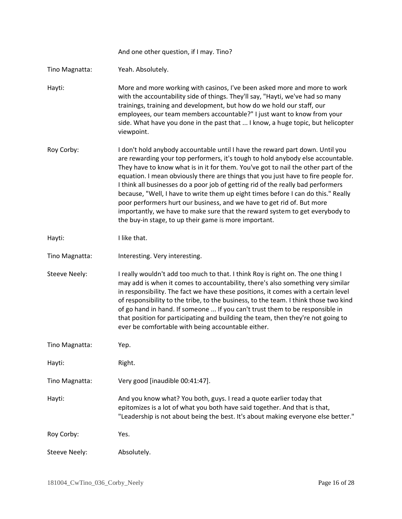|                      | And one other question, if I may. Tino?                                                                                                                                                                                                                                                                                                                                                                                                                                                                                                                                                                                                                                                                                                  |
|----------------------|------------------------------------------------------------------------------------------------------------------------------------------------------------------------------------------------------------------------------------------------------------------------------------------------------------------------------------------------------------------------------------------------------------------------------------------------------------------------------------------------------------------------------------------------------------------------------------------------------------------------------------------------------------------------------------------------------------------------------------------|
| Tino Magnatta:       | Yeah. Absolutely.                                                                                                                                                                                                                                                                                                                                                                                                                                                                                                                                                                                                                                                                                                                        |
| Hayti:               | More and more working with casinos, I've been asked more and more to work<br>with the accountability side of things. They'll say, "Hayti, we've had so many<br>trainings, training and development, but how do we hold our staff, our<br>employees, our team members accountable?" I just want to know from your<br>side. What have you done in the past that  I know, a huge topic, but helicopter<br>viewpoint.                                                                                                                                                                                                                                                                                                                        |
| Roy Corby:           | I don't hold anybody accountable until I have the reward part down. Until you<br>are rewarding your top performers, it's tough to hold anybody else accountable.<br>They have to know what is in it for them. You've got to nail the other part of the<br>equation. I mean obviously there are things that you just have to fire people for.<br>I think all businesses do a poor job of getting rid of the really bad performers<br>because, "Well, I have to write them up eight times before I can do this." Really<br>poor performers hurt our business, and we have to get rid of. But more<br>importantly, we have to make sure that the reward system to get everybody to<br>the buy-in stage, to up their game is more important. |
| Hayti:               | I like that.                                                                                                                                                                                                                                                                                                                                                                                                                                                                                                                                                                                                                                                                                                                             |
| Tino Magnatta:       | Interesting. Very interesting.                                                                                                                                                                                                                                                                                                                                                                                                                                                                                                                                                                                                                                                                                                           |
| <b>Steeve Neely:</b> | I really wouldn't add too much to that. I think Roy is right on. The one thing I<br>may add is when it comes to accountability, there's also something very similar<br>in responsibility. The fact we have these positions, it comes with a certain level<br>of responsibility to the tribe, to the business, to the team. I think those two kind<br>of go hand in hand. If someone  If you can't trust them to be responsible in<br>that position for participating and building the team, then they're not going to<br>ever be comfortable with being accountable either.                                                                                                                                                              |
| Tino Magnatta:       | Yep.                                                                                                                                                                                                                                                                                                                                                                                                                                                                                                                                                                                                                                                                                                                                     |
| Hayti:               | Right.                                                                                                                                                                                                                                                                                                                                                                                                                                                                                                                                                                                                                                                                                                                                   |
| Tino Magnatta:       | Very good [inaudible 00:41:47].                                                                                                                                                                                                                                                                                                                                                                                                                                                                                                                                                                                                                                                                                                          |
| Hayti:               | And you know what? You both, guys. I read a quote earlier today that<br>epitomizes is a lot of what you both have said together. And that is that,<br>"Leadership is not about being the best. It's about making everyone else better."                                                                                                                                                                                                                                                                                                                                                                                                                                                                                                  |
| Roy Corby:           | Yes.                                                                                                                                                                                                                                                                                                                                                                                                                                                                                                                                                                                                                                                                                                                                     |
| <b>Steeve Neely:</b> | Absolutely.                                                                                                                                                                                                                                                                                                                                                                                                                                                                                                                                                                                                                                                                                                                              |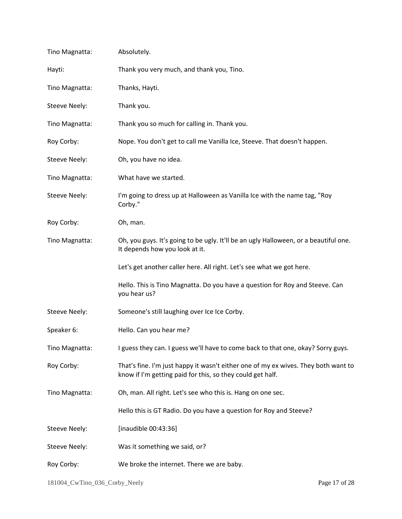| Tino Magnatta:       | Absolutely.                                                                                                                                      |
|----------------------|--------------------------------------------------------------------------------------------------------------------------------------------------|
| Hayti:               | Thank you very much, and thank you, Tino.                                                                                                        |
| Tino Magnatta:       | Thanks, Hayti.                                                                                                                                   |
| <b>Steeve Neely:</b> | Thank you.                                                                                                                                       |
| Tino Magnatta:       | Thank you so much for calling in. Thank you.                                                                                                     |
| Roy Corby:           | Nope. You don't get to call me Vanilla Ice, Steeve. That doesn't happen.                                                                         |
| Steeve Neely:        | Oh, you have no idea.                                                                                                                            |
| Tino Magnatta:       | What have we started.                                                                                                                            |
| Steeve Neely:        | I'm going to dress up at Halloween as Vanilla Ice with the name tag, "Roy<br>Corby."                                                             |
| Roy Corby:           | Oh, man.                                                                                                                                         |
| Tino Magnatta:       | Oh, you guys. It's going to be ugly. It'll be an ugly Halloween, or a beautiful one.<br>It depends how you look at it.                           |
|                      | Let's get another caller here. All right. Let's see what we got here.                                                                            |
|                      | Hello. This is Tino Magnatta. Do you have a question for Roy and Steeve. Can<br>you hear us?                                                     |
| <b>Steeve Neely:</b> | Someone's still laughing over Ice Ice Corby.                                                                                                     |
| Speaker 6:           | Hello. Can you hear me?                                                                                                                          |
| Tino Magnatta:       | I guess they can. I guess we'll have to come back to that one, okay? Sorry guys.                                                                 |
| Roy Corby:           | That's fine. I'm just happy it wasn't either one of my ex wives. They both want to<br>know if I'm getting paid for this, so they could get half. |
| Tino Magnatta:       | Oh, man. All right. Let's see who this is. Hang on one sec.                                                                                      |
|                      | Hello this is GT Radio. Do you have a question for Roy and Steeve?                                                                               |
| <b>Steeve Neely:</b> | [inaudible 00:43:36]                                                                                                                             |
| <b>Steeve Neely:</b> | Was it something we said, or?                                                                                                                    |
| Roy Corby:           | We broke the internet. There we are baby.                                                                                                        |
|                      |                                                                                                                                                  |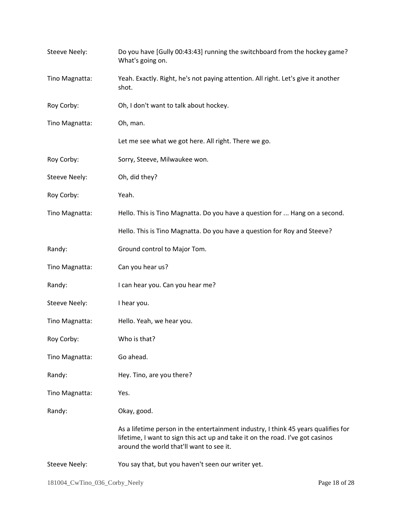| <b>Steeve Neely:</b> | Do you have [Gully 00:43:43] running the switchboard from the hockey game?<br>What's going on.                                                                                                                   |
|----------------------|------------------------------------------------------------------------------------------------------------------------------------------------------------------------------------------------------------------|
| Tino Magnatta:       | Yeah. Exactly. Right, he's not paying attention. All right. Let's give it another<br>shot.                                                                                                                       |
| Roy Corby:           | Oh, I don't want to talk about hockey.                                                                                                                                                                           |
| Tino Magnatta:       | Oh, man.                                                                                                                                                                                                         |
|                      | Let me see what we got here. All right. There we go.                                                                                                                                                             |
| Roy Corby:           | Sorry, Steeve, Milwaukee won.                                                                                                                                                                                    |
| <b>Steeve Neely:</b> | Oh, did they?                                                                                                                                                                                                    |
| Roy Corby:           | Yeah.                                                                                                                                                                                                            |
| Tino Magnatta:       | Hello. This is Tino Magnatta. Do you have a question for  Hang on a second.                                                                                                                                      |
|                      | Hello. This is Tino Magnatta. Do you have a question for Roy and Steeve?                                                                                                                                         |
| Randy:               | Ground control to Major Tom.                                                                                                                                                                                     |
| Tino Magnatta:       | Can you hear us?                                                                                                                                                                                                 |
| Randy:               | I can hear you. Can you hear me?                                                                                                                                                                                 |
| <b>Steeve Neely:</b> | I hear you.                                                                                                                                                                                                      |
| Tino Magnatta:       | Hello. Yeah, we hear you.                                                                                                                                                                                        |
| Roy Corby:           | Who is that?                                                                                                                                                                                                     |
| Tino Magnatta:       | Go ahead.                                                                                                                                                                                                        |
| Randy:               | Hey. Tino, are you there?                                                                                                                                                                                        |
| Tino Magnatta:       | Yes.                                                                                                                                                                                                             |
| Randy:               | Okay, good.                                                                                                                                                                                                      |
|                      | As a lifetime person in the entertainment industry, I think 45 years qualifies for<br>lifetime, I want to sign this act up and take it on the road. I've got casinos<br>around the world that'll want to see it. |
| <b>Steeve Neely:</b> | You say that, but you haven't seen our writer yet.                                                                                                                                                               |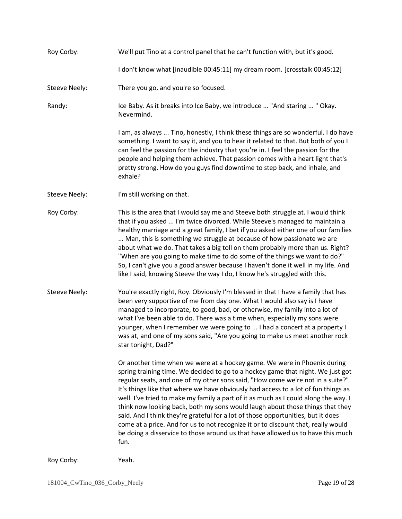| Roy Corby:           | We'll put Tino at a control panel that he can't function with, but it's good.                                                                                                                                                                                                                                                                                                                                                                                                                                                                                                                                                                                                                                                                                                   |
|----------------------|---------------------------------------------------------------------------------------------------------------------------------------------------------------------------------------------------------------------------------------------------------------------------------------------------------------------------------------------------------------------------------------------------------------------------------------------------------------------------------------------------------------------------------------------------------------------------------------------------------------------------------------------------------------------------------------------------------------------------------------------------------------------------------|
|                      | I don't know what [inaudible 00:45:11] my dream room. [crosstalk 00:45:12]                                                                                                                                                                                                                                                                                                                                                                                                                                                                                                                                                                                                                                                                                                      |
| <b>Steeve Neely:</b> | There you go, and you're so focused.                                                                                                                                                                                                                                                                                                                                                                                                                                                                                                                                                                                                                                                                                                                                            |
| Randy:               | Ice Baby. As it breaks into Ice Baby, we introduce  "And staring  " Okay.<br>Nevermind.                                                                                                                                                                                                                                                                                                                                                                                                                                                                                                                                                                                                                                                                                         |
|                      | I am, as always  Tino, honestly, I think these things are so wonderful. I do have<br>something. I want to say it, and you to hear it related to that. But both of you I<br>can feel the passion for the industry that you're in. I feel the passion for the<br>people and helping them achieve. That passion comes with a heart light that's<br>pretty strong. How do you guys find downtime to step back, and inhale, and<br>exhale?                                                                                                                                                                                                                                                                                                                                           |
| <b>Steeve Neely:</b> | I'm still working on that.                                                                                                                                                                                                                                                                                                                                                                                                                                                                                                                                                                                                                                                                                                                                                      |
| Roy Corby:           | This is the area that I would say me and Steeve both struggle at. I would think<br>that if you asked  I'm twice divorced. While Steeve's managed to maintain a<br>healthy marriage and a great family, I bet if you asked either one of our families<br>Man, this is something we struggle at because of how passionate we are<br>about what we do. That takes a big toll on them probably more than us. Right?<br>"When are you going to make time to do some of the things we want to do?"<br>So, I can't give you a good answer because I haven't done it well in my life. And<br>like I said, knowing Steeve the way I do, I know he's struggled with this.                                                                                                                 |
| <b>Steeve Neely:</b> | You're exactly right, Roy. Obviously I'm blessed in that I have a family that has<br>been very supportive of me from day one. What I would also say is I have<br>managed to incorporate, to good, bad, or otherwise, my family into a lot of<br>what I've been able to do. There was a time when, especially my sons were<br>younger, when I remember we were going to  I had a concert at a property I<br>was at, and one of my sons said, "Are you going to make us meet another rock<br>star tonight, Dad?"                                                                                                                                                                                                                                                                  |
|                      | Or another time when we were at a hockey game. We were in Phoenix during<br>spring training time. We decided to go to a hockey game that night. We just got<br>regular seats, and one of my other sons said, "How come we're not in a suite?"<br>It's things like that where we have obviously had access to a lot of fun things as<br>well. I've tried to make my family a part of it as much as I could along the way. I<br>think now looking back, both my sons would laugh about those things that they<br>said. And I think they're grateful for a lot of those opportunities, but it does<br>come at a price. And for us to not recognize it or to discount that, really would<br>be doing a disservice to those around us that have allowed us to have this much<br>fun. |
| Roy Corby:           | Yeah.                                                                                                                                                                                                                                                                                                                                                                                                                                                                                                                                                                                                                                                                                                                                                                           |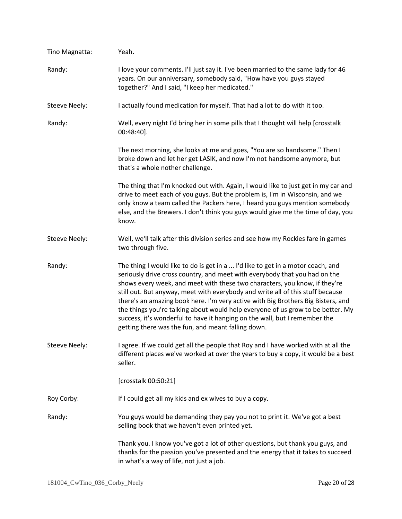| Tino Magnatta:       | Yeah.                                                                                                                                                                                                                                                                                                                                                                                                                                                                                                                                                                                                                                    |
|----------------------|------------------------------------------------------------------------------------------------------------------------------------------------------------------------------------------------------------------------------------------------------------------------------------------------------------------------------------------------------------------------------------------------------------------------------------------------------------------------------------------------------------------------------------------------------------------------------------------------------------------------------------------|
| Randy:               | I love your comments. I'll just say it. I've been married to the same lady for 46<br>years. On our anniversary, somebody said, "How have you guys stayed<br>together?" And I said, "I keep her medicated."                                                                                                                                                                                                                                                                                                                                                                                                                               |
| <b>Steeve Neely:</b> | I actually found medication for myself. That had a lot to do with it too.                                                                                                                                                                                                                                                                                                                                                                                                                                                                                                                                                                |
| Randy:               | Well, every night I'd bring her in some pills that I thought will help [crosstalk<br>$00:48:40$ ].                                                                                                                                                                                                                                                                                                                                                                                                                                                                                                                                       |
|                      | The next morning, she looks at me and goes, "You are so handsome." Then I<br>broke down and let her get LASIK, and now I'm not handsome anymore, but<br>that's a whole nother challenge.                                                                                                                                                                                                                                                                                                                                                                                                                                                 |
|                      | The thing that I'm knocked out with. Again, I would like to just get in my car and<br>drive to meet each of you guys. But the problem is, I'm in Wisconsin, and we<br>only know a team called the Packers here, I heard you guys mention somebody<br>else, and the Brewers. I don't think you guys would give me the time of day, you<br>know.                                                                                                                                                                                                                                                                                           |
| <b>Steeve Neely:</b> | Well, we'll talk after this division series and see how my Rockies fare in games<br>two through five.                                                                                                                                                                                                                                                                                                                                                                                                                                                                                                                                    |
| Randy:               | The thing I would like to do is get in a  I'd like to get in a motor coach, and<br>seriously drive cross country, and meet with everybody that you had on the<br>shows every week, and meet with these two characters, you know, if they're<br>still out. But anyway, meet with everybody and write all of this stuff because<br>there's an amazing book here. I'm very active with Big Brothers Big Bisters, and<br>the things you're talking about would help everyone of us grow to be better. My<br>success, it's wonderful to have it hanging on the wall, but I remember the<br>getting there was the fun, and meant falling down. |
| <b>Steeve Neely:</b> | I agree. If we could get all the people that Roy and I have worked with at all the<br>different places we've worked at over the years to buy a copy, it would be a best<br>seller.                                                                                                                                                                                                                                                                                                                                                                                                                                                       |
|                      | [crosstalk 00:50:21]                                                                                                                                                                                                                                                                                                                                                                                                                                                                                                                                                                                                                     |
| Roy Corby:           | If I could get all my kids and ex wives to buy a copy.                                                                                                                                                                                                                                                                                                                                                                                                                                                                                                                                                                                   |
| Randy:               | You guys would be demanding they pay you not to print it. We've got a best<br>selling book that we haven't even printed yet.                                                                                                                                                                                                                                                                                                                                                                                                                                                                                                             |
|                      | Thank you. I know you've got a lot of other questions, but thank you guys, and<br>thanks for the passion you've presented and the energy that it takes to succeed<br>in what's a way of life, not just a job.                                                                                                                                                                                                                                                                                                                                                                                                                            |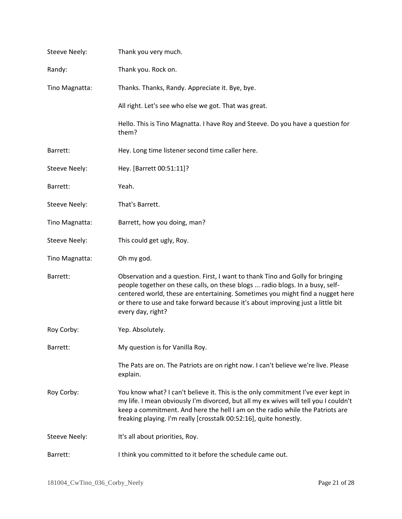| <b>Steeve Neely:</b> | Thank you very much.                                                                                                                                                                                                                                                                                                                                      |
|----------------------|-----------------------------------------------------------------------------------------------------------------------------------------------------------------------------------------------------------------------------------------------------------------------------------------------------------------------------------------------------------|
| Randy:               | Thank you. Rock on.                                                                                                                                                                                                                                                                                                                                       |
| Tino Magnatta:       | Thanks. Thanks, Randy. Appreciate it. Bye, bye.                                                                                                                                                                                                                                                                                                           |
|                      | All right. Let's see who else we got. That was great.                                                                                                                                                                                                                                                                                                     |
|                      | Hello. This is Tino Magnatta. I have Roy and Steeve. Do you have a question for<br>them?                                                                                                                                                                                                                                                                  |
| Barrett:             | Hey. Long time listener second time caller here.                                                                                                                                                                                                                                                                                                          |
| Steeve Neely:        | Hey. [Barrett 00:51:11]?                                                                                                                                                                                                                                                                                                                                  |
| Barrett:             | Yeah.                                                                                                                                                                                                                                                                                                                                                     |
| <b>Steeve Neely:</b> | That's Barrett.                                                                                                                                                                                                                                                                                                                                           |
| Tino Magnatta:       | Barrett, how you doing, man?                                                                                                                                                                                                                                                                                                                              |
| <b>Steeve Neely:</b> | This could get ugly, Roy.                                                                                                                                                                                                                                                                                                                                 |
| Tino Magnatta:       | Oh my god.                                                                                                                                                                                                                                                                                                                                                |
| Barrett:             | Observation and a question. First, I want to thank Tino and Golly for bringing<br>people together on these calls, on these blogs  radio blogs. In a busy, self-<br>centered world, these are entertaining. Sometimes you might find a nugget here<br>or there to use and take forward because it's about improving just a little bit<br>every day, right? |
| Roy Corby:           | Yep. Absolutely.                                                                                                                                                                                                                                                                                                                                          |
| Barrett:             | My question is for Vanilla Roy.                                                                                                                                                                                                                                                                                                                           |
|                      | The Pats are on. The Patriots are on right now. I can't believe we're live. Please<br>explain.                                                                                                                                                                                                                                                            |
| Roy Corby:           | You know what? I can't believe it. This is the only commitment I've ever kept in<br>my life. I mean obviously I'm divorced, but all my ex wives will tell you I couldn't<br>keep a commitment. And here the hell I am on the radio while the Patriots are<br>freaking playing. I'm really [crosstalk 00:52:16], quite honestly.                           |
| Steeve Neely:        | It's all about priorities, Roy.                                                                                                                                                                                                                                                                                                                           |
| Barrett:             | I think you committed to it before the schedule came out.                                                                                                                                                                                                                                                                                                 |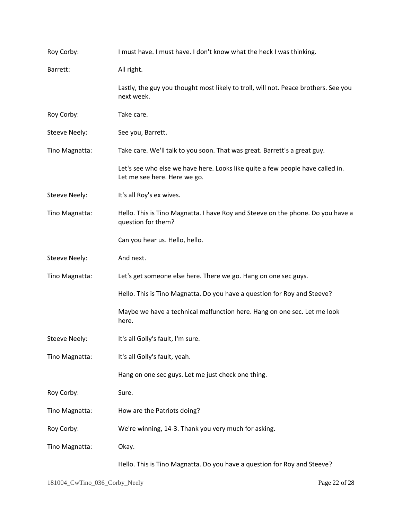| Roy Corby:           | I must have. I must have. I don't know what the heck I was thinking.                                           |
|----------------------|----------------------------------------------------------------------------------------------------------------|
| Barrett:             | All right.                                                                                                     |
|                      | Lastly, the guy you thought most likely to troll, will not. Peace brothers. See you<br>next week.              |
| Roy Corby:           | Take care.                                                                                                     |
| <b>Steeve Neely:</b> | See you, Barrett.                                                                                              |
| Tino Magnatta:       | Take care. We'll talk to you soon. That was great. Barrett's a great guy.                                      |
|                      | Let's see who else we have here. Looks like quite a few people have called in.<br>Let me see here. Here we go. |
| <b>Steeve Neely:</b> | It's all Roy's ex wives.                                                                                       |
| Tino Magnatta:       | Hello. This is Tino Magnatta. I have Roy and Steeve on the phone. Do you have a<br>question for them?          |
|                      | Can you hear us. Hello, hello.                                                                                 |
| <b>Steeve Neely:</b> | And next.                                                                                                      |
| Tino Magnatta:       | Let's get someone else here. There we go. Hang on one sec guys.                                                |
|                      | Hello. This is Tino Magnatta. Do you have a question for Roy and Steeve?                                       |
|                      | Maybe we have a technical malfunction here. Hang on one sec. Let me look<br>here.                              |
| Steeve Neely:        | It's all Golly's fault, I'm sure.                                                                              |
| Tino Magnatta:       | It's all Golly's fault, yeah.                                                                                  |
|                      | Hang on one sec guys. Let me just check one thing.                                                             |
| Roy Corby:           | Sure.                                                                                                          |
| Tino Magnatta:       | How are the Patriots doing?                                                                                    |
| Roy Corby:           | We're winning, 14-3. Thank you very much for asking.                                                           |
| Tino Magnatta:       | Okay.                                                                                                          |
|                      | Hello. This is Tino Magnatta. Do you have a question for Roy and Steeve?                                       |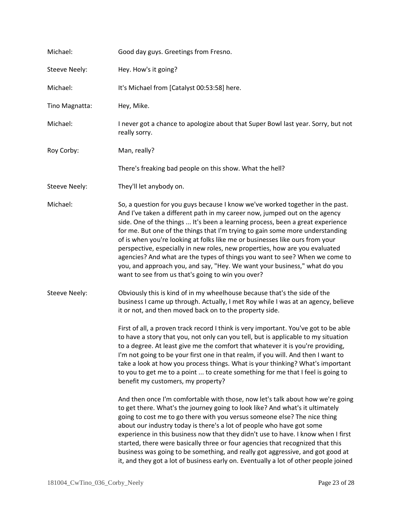| Michael:             | Good day guys. Greetings from Fresno.                                                                                                                                                                                                                                                                                                                                                                                                                                                                                                                                                                                                                                                                          |
|----------------------|----------------------------------------------------------------------------------------------------------------------------------------------------------------------------------------------------------------------------------------------------------------------------------------------------------------------------------------------------------------------------------------------------------------------------------------------------------------------------------------------------------------------------------------------------------------------------------------------------------------------------------------------------------------------------------------------------------------|
| <b>Steeve Neely:</b> | Hey. How's it going?                                                                                                                                                                                                                                                                                                                                                                                                                                                                                                                                                                                                                                                                                           |
| Michael:             | It's Michael from [Catalyst 00:53:58] here.                                                                                                                                                                                                                                                                                                                                                                                                                                                                                                                                                                                                                                                                    |
| Tino Magnatta:       | Hey, Mike.                                                                                                                                                                                                                                                                                                                                                                                                                                                                                                                                                                                                                                                                                                     |
| Michael:             | I never got a chance to apologize about that Super Bowl last year. Sorry, but not<br>really sorry.                                                                                                                                                                                                                                                                                                                                                                                                                                                                                                                                                                                                             |
| Roy Corby:           | Man, really?                                                                                                                                                                                                                                                                                                                                                                                                                                                                                                                                                                                                                                                                                                   |
|                      | There's freaking bad people on this show. What the hell?                                                                                                                                                                                                                                                                                                                                                                                                                                                                                                                                                                                                                                                       |
| <b>Steeve Neely:</b> | They'll let anybody on.                                                                                                                                                                                                                                                                                                                                                                                                                                                                                                                                                                                                                                                                                        |
| Michael:             | So, a question for you guys because I know we've worked together in the past.<br>And I've taken a different path in my career now, jumped out on the agency<br>side. One of the things  It's been a learning process, been a great experience<br>for me. But one of the things that I'm trying to gain some more understanding<br>of is when you're looking at folks like me or businesses like ours from your<br>perspective, especially in new roles, new properties, how are you evaluated<br>agencies? And what are the types of things you want to see? When we come to<br>you, and approach you, and say, "Hey. We want your business," what do you<br>want to see from us that's going to win you over? |
| <b>Steeve Neely:</b> | Obviously this is kind of in my wheelhouse because that's the side of the<br>business I came up through. Actually, I met Roy while I was at an agency, believe<br>it or not, and then moved back on to the property side.                                                                                                                                                                                                                                                                                                                                                                                                                                                                                      |
|                      | First of all, a proven track record I think is very important. You've got to be able<br>to have a story that you, not only can you tell, but is applicable to my situation<br>to a degree. At least give me the comfort that whatever it is you're providing,<br>I'm not going to be your first one in that realm, if you will. And then I want to<br>take a look at how you process things. What is your thinking? What's important<br>to you to get me to a point  to create something for me that I feel is going to<br>benefit my customers, my property?                                                                                                                                                  |
|                      | And then once I'm comfortable with those, now let's talk about how we're going<br>to get there. What's the journey going to look like? And what's it ultimately<br>going to cost me to go there with you versus someone else? The nice thing<br>about our industry today is there's a lot of people who have got some<br>experience in this business now that they didn't use to have. I know when I first<br>started, there were basically three or four agencies that recognized that this<br>business was going to be something, and really got aggressive, and got good at<br>it, and they got a lot of business early on. Eventually a lot of other people joined                                         |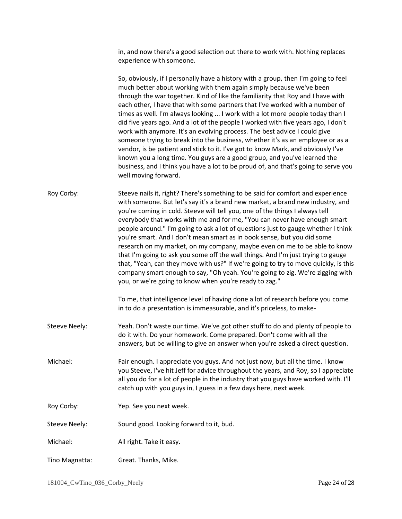in, and now there's a good selection out there to work with. Nothing replaces experience with someone.

|                | So, obviously, if I personally have a history with a group, then I'm going to feel<br>much better about working with them again simply because we've been<br>through the war together. Kind of like the familiarity that Roy and I have with<br>each other, I have that with some partners that I've worked with a number of<br>times as well. I'm always looking  I work with a lot more people today than I<br>did five years ago. And a lot of the people I worked with five years ago, I don't<br>work with anymore. It's an evolving process. The best advice I could give<br>someone trying to break into the business, whether it's as an employee or as a<br>vendor, is be patient and stick to it. I've got to know Mark, and obviously I've<br>known you a long time. You guys are a good group, and you've learned the<br>business, and I think you have a lot to be proud of, and that's going to serve you<br>well moving forward. |
|----------------|-------------------------------------------------------------------------------------------------------------------------------------------------------------------------------------------------------------------------------------------------------------------------------------------------------------------------------------------------------------------------------------------------------------------------------------------------------------------------------------------------------------------------------------------------------------------------------------------------------------------------------------------------------------------------------------------------------------------------------------------------------------------------------------------------------------------------------------------------------------------------------------------------------------------------------------------------|
| Roy Corby:     | Steeve nails it, right? There's something to be said for comfort and experience<br>with someone. But let's say it's a brand new market, a brand new industry, and<br>you're coming in cold. Steeve will tell you, one of the things I always tell<br>everybody that works with me and for me, "You can never have enough smart<br>people around." I'm going to ask a lot of questions just to gauge whether I think<br>you're smart. And I don't mean smart as in book sense, but you did some<br>research on my market, on my company, maybe even on me to be able to know<br>that I'm going to ask you some off the wall things. And I'm just trying to gauge<br>that, "Yeah, can they move with us?" If we're going to try to move quickly, is this<br>company smart enough to say, "Oh yeah. You're going to zig. We're zigging with<br>you, or we're going to know when you're ready to zag."                                              |
|                | To me, that intelligence level of having done a lot of research before you come<br>in to do a presentation is immeasurable, and it's priceless, to make-                                                                                                                                                                                                                                                                                                                                                                                                                                                                                                                                                                                                                                                                                                                                                                                        |
| Steeve Neely:  | Yeah. Don't waste our time. We've got other stuff to do and plenty of people to<br>do it with. Do your homework. Come prepared. Don't come with all the<br>answers, but be willing to give an answer when you're asked a direct question.                                                                                                                                                                                                                                                                                                                                                                                                                                                                                                                                                                                                                                                                                                       |
| Michael:       | Fair enough. I appreciate you guys. And not just now, but all the time. I know<br>you Steeve, I've hit Jeff for advice throughout the years, and Roy, so I appreciate<br>all you do for a lot of people in the industry that you guys have worked with. I'll<br>catch up with you guys in, I guess in a few days here, next week.                                                                                                                                                                                                                                                                                                                                                                                                                                                                                                                                                                                                               |
| Roy Corby:     | Yep. See you next week.                                                                                                                                                                                                                                                                                                                                                                                                                                                                                                                                                                                                                                                                                                                                                                                                                                                                                                                         |
| Steeve Neely:  | Sound good. Looking forward to it, bud.                                                                                                                                                                                                                                                                                                                                                                                                                                                                                                                                                                                                                                                                                                                                                                                                                                                                                                         |
| Michael:       | All right. Take it easy.                                                                                                                                                                                                                                                                                                                                                                                                                                                                                                                                                                                                                                                                                                                                                                                                                                                                                                                        |
| Tino Magnatta: | Great. Thanks, Mike.                                                                                                                                                                                                                                                                                                                                                                                                                                                                                                                                                                                                                                                                                                                                                                                                                                                                                                                            |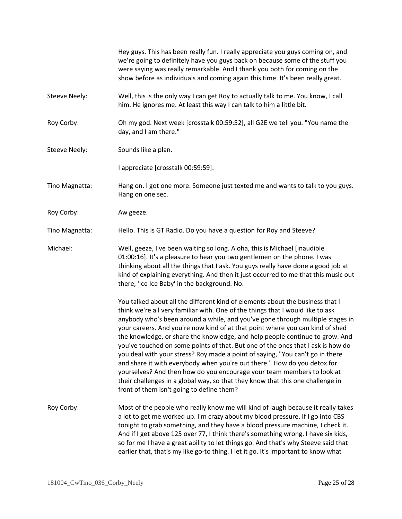|                      | Hey guys. This has been really fun. I really appreciate you guys coming on, and<br>we're going to definitely have you guys back on because some of the stuff you<br>were saying was really remarkable. And I thank you both for coming on the<br>show before as individuals and coming again this time. It's been really great.                                                                                                                                                                                                                                                                                                                                                                                                                                                                                                                                            |
|----------------------|----------------------------------------------------------------------------------------------------------------------------------------------------------------------------------------------------------------------------------------------------------------------------------------------------------------------------------------------------------------------------------------------------------------------------------------------------------------------------------------------------------------------------------------------------------------------------------------------------------------------------------------------------------------------------------------------------------------------------------------------------------------------------------------------------------------------------------------------------------------------------|
| <b>Steeve Neely:</b> | Well, this is the only way I can get Roy to actually talk to me. You know, I call<br>him. He ignores me. At least this way I can talk to him a little bit.                                                                                                                                                                                                                                                                                                                                                                                                                                                                                                                                                                                                                                                                                                                 |
| Roy Corby:           | Oh my god. Next week [crosstalk 00:59:52], all G2E we tell you. "You name the<br>day, and I am there."                                                                                                                                                                                                                                                                                                                                                                                                                                                                                                                                                                                                                                                                                                                                                                     |
| <b>Steeve Neely:</b> | Sounds like a plan.                                                                                                                                                                                                                                                                                                                                                                                                                                                                                                                                                                                                                                                                                                                                                                                                                                                        |
|                      | I appreciate [crosstalk 00:59:59].                                                                                                                                                                                                                                                                                                                                                                                                                                                                                                                                                                                                                                                                                                                                                                                                                                         |
| Tino Magnatta:       | Hang on. I got one more. Someone just texted me and wants to talk to you guys.<br>Hang on one sec.                                                                                                                                                                                                                                                                                                                                                                                                                                                                                                                                                                                                                                                                                                                                                                         |
| Roy Corby:           | Aw geeze.                                                                                                                                                                                                                                                                                                                                                                                                                                                                                                                                                                                                                                                                                                                                                                                                                                                                  |
| Tino Magnatta:       | Hello. This is GT Radio. Do you have a question for Roy and Steeve?                                                                                                                                                                                                                                                                                                                                                                                                                                                                                                                                                                                                                                                                                                                                                                                                        |
| Michael:             | Well, geeze, I've been waiting so long. Aloha, this is Michael [inaudible<br>01:00:16]. It's a pleasure to hear you two gentlemen on the phone. I was<br>thinking about all the things that I ask. You guys really have done a good job at<br>kind of explaining everything. And then it just occurred to me that this music out<br>there, 'Ice Ice Baby' in the background. No.                                                                                                                                                                                                                                                                                                                                                                                                                                                                                           |
|                      | You talked about all the different kind of elements about the business that I<br>think we're all very familiar with. One of the things that I would like to ask<br>anybody who's been around a while, and you've gone through multiple stages in<br>your careers. And you're now kind of at that point where you can kind of shed<br>the knowledge, or share the knowledge, and help people continue to grow. And<br>you've touched on some points of that. But one of the ones that I ask is how do<br>you deal with your stress? Roy made a point of saying, "You can't go in there<br>and share it with everybody when you're out there." How do you detox for<br>yourselves? And then how do you encourage your team members to look at<br>their challenges in a global way, so that they know that this one challenge in<br>front of them isn't going to define them? |
| Roy Corby:           | Most of the people who really know me will kind of laugh because it really takes<br>a lot to get me worked up. I'm crazy about my blood pressure. If I go into CBS<br>tonight to grab something, and they have a blood pressure machine, I check it.<br>And if I get above 125 over 77, I think there's something wrong. I have six kids,<br>so for me I have a great ability to let things go. And that's why Steeve said that<br>earlier that, that's my like go-to thing. I let it go. It's important to know what                                                                                                                                                                                                                                                                                                                                                      |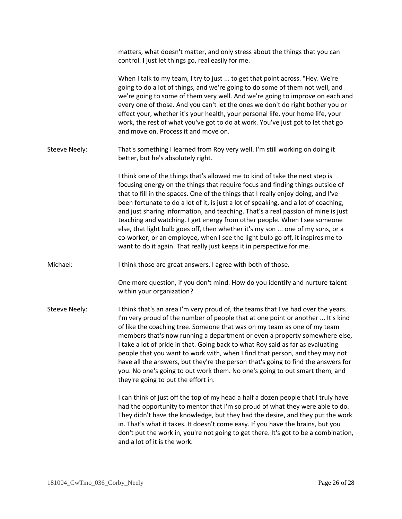|                      | matters, what doesn't matter, and only stress about the things that you can<br>control. I just let things go, real easily for me.                                                                                                                                                                                                                                                                                                                                                                                                                                                                                                                                                                                                                         |
|----------------------|-----------------------------------------------------------------------------------------------------------------------------------------------------------------------------------------------------------------------------------------------------------------------------------------------------------------------------------------------------------------------------------------------------------------------------------------------------------------------------------------------------------------------------------------------------------------------------------------------------------------------------------------------------------------------------------------------------------------------------------------------------------|
|                      | When I talk to my team, I try to just  to get that point across. "Hey. We're<br>going to do a lot of things, and we're going to do some of them not well, and<br>we're going to some of them very well. And we're going to improve on each and<br>every one of those. And you can't let the ones we don't do right bother you or<br>effect your, whether it's your health, your personal life, your home life, your<br>work, the rest of what you've got to do at work. You've just got to let that go<br>and move on. Process it and move on.                                                                                                                                                                                                            |
| <b>Steeve Neely:</b> | That's something I learned from Roy very well. I'm still working on doing it<br>better, but he's absolutely right.                                                                                                                                                                                                                                                                                                                                                                                                                                                                                                                                                                                                                                        |
|                      | I think one of the things that's allowed me to kind of take the next step is<br>focusing energy on the things that require focus and finding things outside of<br>that to fill in the spaces. One of the things that I really enjoy doing, and I've<br>been fortunate to do a lot of it, is just a lot of speaking, and a lot of coaching,<br>and just sharing information, and teaching. That's a real passion of mine is just<br>teaching and watching. I get energy from other people. When I see someone<br>else, that light bulb goes off, then whether it's my son  one of my sons, or a<br>co-worker, or an employee, when I see the light bulb go off, it inspires me to<br>want to do it again. That really just keeps it in perspective for me. |
| Michael:             | I think those are great answers. I agree with both of those.                                                                                                                                                                                                                                                                                                                                                                                                                                                                                                                                                                                                                                                                                              |
|                      | One more question, if you don't mind. How do you identify and nurture talent<br>within your organization?                                                                                                                                                                                                                                                                                                                                                                                                                                                                                                                                                                                                                                                 |
| <b>Steeve Neely:</b> | I think that's an area I'm very proud of, the teams that I've had over the years.<br>I'm very proud of the number of people that at one point or another  It's kind<br>of like the coaching tree. Someone that was on my team as one of my team<br>members that's now running a department or even a property somewhere else,<br>I take a lot of pride in that. Going back to what Roy said as far as evaluating<br>people that you want to work with, when I find that person, and they may not<br>have all the answers, but they're the person that's going to find the answers for<br>you. No one's going to out work them. No one's going to out smart them, and<br>they're going to put the effort in.                                               |
|                      | I can think of just off the top of my head a half a dozen people that I truly have<br>had the opportunity to mentor that I'm so proud of what they were able to do.<br>They didn't have the knowledge, but they had the desire, and they put the work<br>in. That's what it takes. It doesn't come easy. If you have the brains, but you<br>don't put the work in, you're not going to get there. It's got to be a combination,<br>and a lot of it is the work.                                                                                                                                                                                                                                                                                           |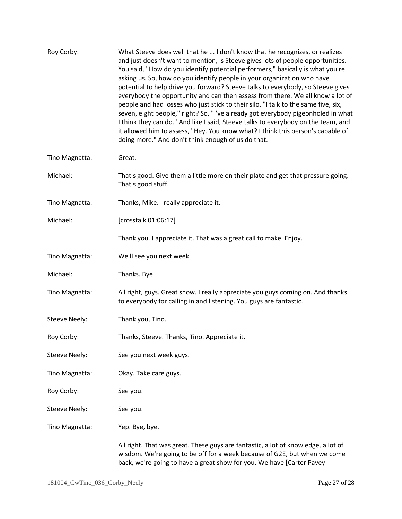| Roy Corby:           | What Steeve does well that he  I don't know that he recognizes, or realizes<br>and just doesn't want to mention, is Steeve gives lots of people opportunities.<br>You said, "How do you identify potential performers," basically is what you're<br>asking us. So, how do you identify people in your organization who have<br>potential to help drive you forward? Steeve talks to everybody, so Steeve gives<br>everybody the opportunity and can then assess from there. We all know a lot of<br>people and had losses who just stick to their silo. "I talk to the same five, six,<br>seven, eight people," right? So, "I've already got everybody pigeonholed in what<br>I think they can do." And like I said, Steeve talks to everybody on the team, and<br>it allowed him to assess, "Hey. You know what? I think this person's capable of<br>doing more." And don't think enough of us do that. |
|----------------------|----------------------------------------------------------------------------------------------------------------------------------------------------------------------------------------------------------------------------------------------------------------------------------------------------------------------------------------------------------------------------------------------------------------------------------------------------------------------------------------------------------------------------------------------------------------------------------------------------------------------------------------------------------------------------------------------------------------------------------------------------------------------------------------------------------------------------------------------------------------------------------------------------------|
| Tino Magnatta:       | Great.                                                                                                                                                                                                                                                                                                                                                                                                                                                                                                                                                                                                                                                                                                                                                                                                                                                                                                   |
| Michael:             | That's good. Give them a little more on their plate and get that pressure going.<br>That's good stuff.                                                                                                                                                                                                                                                                                                                                                                                                                                                                                                                                                                                                                                                                                                                                                                                                   |
| Tino Magnatta:       | Thanks, Mike. I really appreciate it.                                                                                                                                                                                                                                                                                                                                                                                                                                                                                                                                                                                                                                                                                                                                                                                                                                                                    |
| Michael:             | [crosstalk 01:06:17]                                                                                                                                                                                                                                                                                                                                                                                                                                                                                                                                                                                                                                                                                                                                                                                                                                                                                     |
|                      | Thank you. I appreciate it. That was a great call to make. Enjoy.                                                                                                                                                                                                                                                                                                                                                                                                                                                                                                                                                                                                                                                                                                                                                                                                                                        |
| Tino Magnatta:       | We'll see you next week.                                                                                                                                                                                                                                                                                                                                                                                                                                                                                                                                                                                                                                                                                                                                                                                                                                                                                 |
| Michael:             | Thanks. Bye.                                                                                                                                                                                                                                                                                                                                                                                                                                                                                                                                                                                                                                                                                                                                                                                                                                                                                             |
| Tino Magnatta:       | All right, guys. Great show. I really appreciate you guys coming on. And thanks<br>to everybody for calling in and listening. You guys are fantastic.                                                                                                                                                                                                                                                                                                                                                                                                                                                                                                                                                                                                                                                                                                                                                    |
| Steeve Neely:        | Thank you, Tino.                                                                                                                                                                                                                                                                                                                                                                                                                                                                                                                                                                                                                                                                                                                                                                                                                                                                                         |
| Roy Corby:           | Thanks, Steeve. Thanks, Tino. Appreciate it.                                                                                                                                                                                                                                                                                                                                                                                                                                                                                                                                                                                                                                                                                                                                                                                                                                                             |
| <b>Steeve Neely:</b> | See you next week guys.                                                                                                                                                                                                                                                                                                                                                                                                                                                                                                                                                                                                                                                                                                                                                                                                                                                                                  |
| Tino Magnatta:       | Okay. Take care guys.                                                                                                                                                                                                                                                                                                                                                                                                                                                                                                                                                                                                                                                                                                                                                                                                                                                                                    |
| Roy Corby:           | See you.                                                                                                                                                                                                                                                                                                                                                                                                                                                                                                                                                                                                                                                                                                                                                                                                                                                                                                 |
| <b>Steeve Neely:</b> | See you.                                                                                                                                                                                                                                                                                                                                                                                                                                                                                                                                                                                                                                                                                                                                                                                                                                                                                                 |
| Tino Magnatta:       | Yep. Bye, bye.                                                                                                                                                                                                                                                                                                                                                                                                                                                                                                                                                                                                                                                                                                                                                                                                                                                                                           |
|                      | All right. That was great. These guys are fantastic, a lot of knowledge, a lot of<br>wisdom. We're going to be off for a week because of G2E, but when we come<br>back, we're going to have a great show for you. We have [Carter Pavey                                                                                                                                                                                                                                                                                                                                                                                                                                                                                                                                                                                                                                                                  |